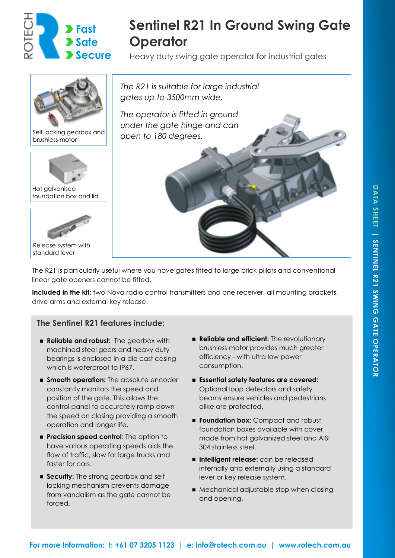

# **Sentinel R21 In Ground Swing Gate Operator**

Heavy duty swing gate operator for industrial gates



The R21 is particularly useful where you have gates fitted to large brick pillars and conventional linear gate openers cannot be fitted.

Included in the kit: two Nova radio control transmitters and one receiver, all mounting brackets, drive arms and external key release.

# **The Sentinel R21 features include:**

- **Reliable and robust:** The gearbox with machined steel gears and heavy duty bearings is enclosed in a die cast casing which is waterproof to IP67.
- $\blacksquare$  **Smooth operation:** The absolute encoder constantly monitors the speed and position of the gate. This allows the control panel to accurately ramp down the speed on closing providing a smooth operation and longer life.
- **Precision speed control:** The option to have various operating speeds aids the flow of traffic, slow for large trucks and faster for cars.
- **Execurity:** The strong gearbox and self locking mechanism prevents damage from vandalism as the gate cannot be forced.
- **Reliable and efficient:** The revolutionary brushless motor provides much greater efficiency - with ultra low power consumption.
- ◼ **Essential safety features are covered:**  Optional loop detectors and safety beams ensure vehicles and pedestrians alike are protected.
- **Foundation box:** Compact and robust foundation boxes available with cover made from hot galvanized steel and AISI 304 stainless steel.
- Intelligent release: can be released internally and externally using a standard lever or key release system.
- Mechanical adjustable stop when closing and opening.